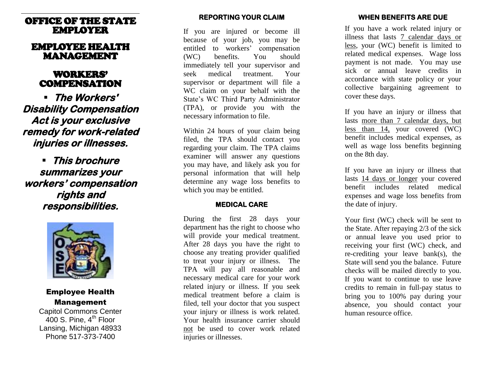# OFFICE OF THE STATE EMPLOYER

# EMPLOYEE HEALTH MANAGEMENT

# WORKERS' COMPENSATION

 **The Workers' Disability Compensation Act is your exclusive remedy for work-related injuries or illnesses.** 

 **This brochure summarizes your workers' compensation rights and responsibilities.** 



# Employee Health Management

Capitol Commons Center 400 S. Pine,  $4<sup>th</sup>$  Floor Lansing, Michigan 48933 Phone 517-373-7400

# **REPORTING YOUR CLAIM**

If you are injured or become ill because of your job, you may be entitled to workers' compensation (WC) benefits. You should immediately tell your supervisor and seek medical treatment. Your supervisor or department will file a WC claim on your behalf with the State's WC Third Party Administrator (TPA), or provide you with the necessary information to file.

Within 24 hours of your claim being filed, the TPA should contact you regarding your claim. The TPA claims examiner will answer any questions you may have, and likely ask you for personal information that will help determine any wage loss benefits to which you may be entitled.

# **MEDICAL CARE**

During the first 28 days your department has the right to choose who will provide your medical treatment. After 28 days you have the right to choose any treating provider qualified to treat your injury or illness. The TPA will pay all reasonable and necessary medical care for your work related injury or illness. If you seek medical treatment before a claim is filed, tell your doctor that you suspect your injury or illness is work related. Your health insurance carrier should not be used to cover work related injuries or illnesses.

# **WHEN BENEFITS ARE DUE**

If you have a work related injury or illness that lasts 7 calendar days or less, your (WC) benefit is limited to related medical expenses. Wage loss payment is not made. You may use sick or annual leave credits in accordance with state policy or your collective bargaining agreement to cover these days.

If you have an injury or illness that lasts more than 7 calendar days, but less than 14, your covered (WC) benefit includes medical expenses, as well as wage loss benefits beginning on the 8th day.

If you have an injury or illness that lasts 14 days or longer your covered benefit includes related medical expenses and wage loss benefits from the date of injury.

Your first (WC) check will be sent to the State. After repaying 2/3 of the sick or annual leave you used prior to receiving your first (WC) check, and re-crediting your leave bank(s), the State will send you the balance. Future checks will be mailed directly to you. If you want to continue to use leave credits to remain in full-pay status to bring you to 100% pay during your absence, you should contact your human resource office.